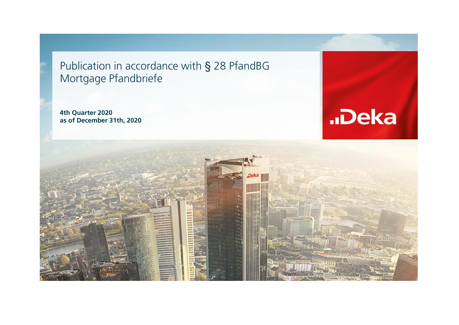Publication in accordance with § 28 PfandBG Mortgage Pfandbriefe

**4th Quarter 2020 as of December 31th, 2020**



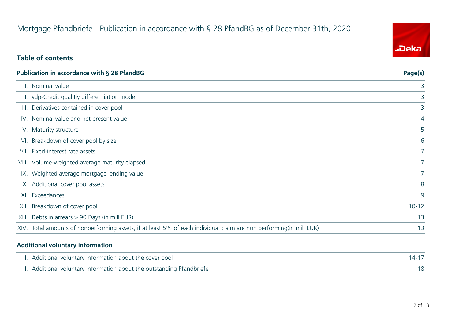## Mortgage Pfandbriefe - Publication in accordance with § 28 PfandBG as of December 31th, 2020

## **Table of contents**

| <b>Publication in accordance with § 28 PfandBG</b>                                                                   | Page(s)     |
|----------------------------------------------------------------------------------------------------------------------|-------------|
| . Nominal value                                                                                                      | 3           |
| II. vdp-Credit qualitiy differentiation model                                                                        | 3           |
| III. Derivatives contained in cover pool                                                                             | 3           |
| IV. Nominal value and net present value                                                                              | 4           |
| V. Maturity structure                                                                                                | 5           |
| VI. Breakdown of cover pool by size                                                                                  | 6           |
| VII. Fixed-interest rate assets                                                                                      | $7^{\circ}$ |
| VIII. Volume-weighted average maturity elapsed                                                                       | $7^{\circ}$ |
| IX. Weighted average mortgage lending value                                                                          |             |
| X. Additional cover pool assets                                                                                      | 8           |
| XI. Exceedances                                                                                                      | 9           |
| XII. Breakdown of cover pool                                                                                         | $10 - 12$   |
| XIII. Debts in arrears > 90 Days (in mill EUR)                                                                       | 13          |
| XIV. Total amounts of nonperforming assets, if at least 5% of each individual claim are non performing (in mill EUR) | 13          |

#### **Additional voluntary information**

| I. Additional voluntary information about the cover pool               |  |
|------------------------------------------------------------------------|--|
| II. Additional voluntary information about the outstanding Pfandbriefe |  |

![](_page_1_Picture_6.jpeg)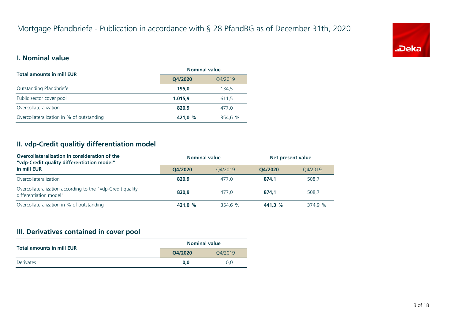![](_page_2_Picture_1.jpeg)

#### **I. Nominal value**

| <b>Total amounts in mill EUR</b>          | <b>Nominal value</b> |         |  |
|-------------------------------------------|----------------------|---------|--|
|                                           | Q4/2020<br>Q4/2019   |         |  |
| Outstanding Pfandbriefe                   | 195.0                | 134.5   |  |
| Public sector cover pool                  | 1.015,9              | 611,5   |  |
| Overcollateralization                     | 820.9                | 477.0   |  |
| Overcollateralization in % of outstanding | 421.0 %              | 354,6 % |  |

## **II. vdp-Credit qualitiy differentiation model**

| Overcollateralization in consideration of the<br>"vdp-Credit quality differentiation model" | <b>Nominal value</b> |         |         | Net present value |  |
|---------------------------------------------------------------------------------------------|----------------------|---------|---------|-------------------|--|
| in mill EUR                                                                                 | O4/2020              | 04/2019 | O4/2020 | 04/2019           |  |
| Overcollateralization                                                                       | 820.9                | 477.0   | 874.1   | 508,7             |  |
| Overcollateralization according to the "vdp-Credit quality<br>differentiation model"        | 820.9                | 477.0   | 874.1   | 508,7             |  |
| Overcollateralization in % of outstanding                                                   | 421.0 %              | 354,6 % | 441.3 % | 374.9 %           |  |

## **III. Derivatives contained in cover pool**

| <b>Total amounts in mill EUR</b> | <b>Nominal value</b> |         |  |
|----------------------------------|----------------------|---------|--|
|                                  | O4/2020              | O4/2019 |  |
| Derivates                        | 0.0                  | 0.0     |  |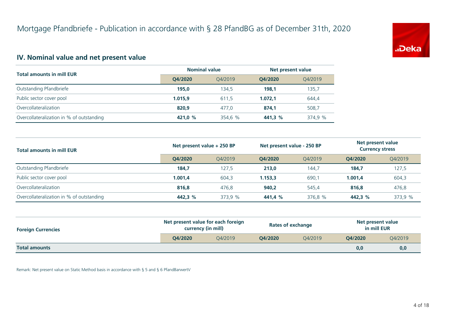![](_page_3_Picture_1.jpeg)

## **IV. Nominal value and net present value**

| <b>Total amounts in mill EUR</b>          | <b>Nominal value</b> |         |         | Net present value |  |
|-------------------------------------------|----------------------|---------|---------|-------------------|--|
|                                           | O4/2020              | O4/2019 | O4/2020 | 04/2019           |  |
| Outstanding Pfandbriefe                   | 195.0                | 134.5   | 198.1   | 135,7             |  |
| Public sector cover pool                  | 1.015.9              | 611.5   | 1.072.1 | 644,4             |  |
| Overcollateralization                     | 820.9                | 477.0   | 874.1   | 508,7             |  |
| Overcollateralization in % of outstanding | 421.0 %              | 354,6 % | 441,3 % | 374,9 %           |  |

| <b>Total amounts in mill EUR</b>          | Net present value + 250 BP |         | Net present value - 250 BP |         | Net present value<br><b>Currency stress</b> |         |
|-------------------------------------------|----------------------------|---------|----------------------------|---------|---------------------------------------------|---------|
|                                           | O4/2020                    | O4/2019 | O4/2020                    | 04/2019 | O4/2020                                     | 04/2019 |
| Outstanding Pfandbriefe                   | 184,7                      | 127,5   | 213,0                      | 144,7   | 184,7                                       | 127,5   |
| Public sector cover pool                  | 1.001.4                    | 604,3   | 1.153.3                    | 690,1   | 1.001.4                                     | 604,3   |
| Overcollateralization                     | 816.8                      | 476.8   | 940,2                      | 545.4   | 816.8                                       | 476,8   |
| Overcollateralization in % of outstanding | 442,3 %                    | 373,9 % | 441,4 %                    | 376,8 % | 442,3 %                                     | 373,9 % |

| <b>Foreign Currencies</b> | Net present value for each foreign<br>currency (in mill) |         | <b>Rates of exchange</b> |         | Net present value<br>in mill EUR |         |
|---------------------------|----------------------------------------------------------|---------|--------------------------|---------|----------------------------------|---------|
|                           | O4/2020                                                  | O4/2019 | O4/2020                  | O4/2019 | O4/2020                          | Q4/2019 |
| <b>Total amounts</b>      |                                                          |         |                          |         | 0,0                              | 0,0     |

Remark: Net present value on Static Method basis in accordance with § 5 and § 6 PfandBarwertV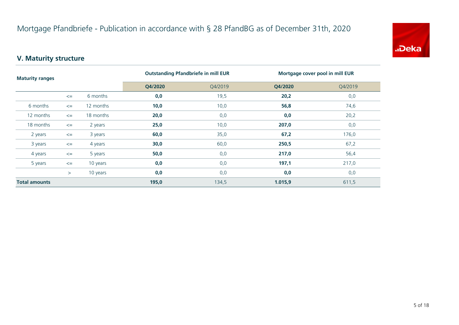![](_page_4_Picture_1.jpeg)

## **V. Maturity structure**

| <b>Maturity ranges</b> |        |           | <b>Outstanding Pfandbriefe in mill EUR</b> |         | Mortgage cover pool in mill EUR |         |
|------------------------|--------|-----------|--------------------------------------------|---------|---------------------------------|---------|
|                        |        |           | Q4/2020                                    | Q4/2019 | Q4/2020                         | Q4/2019 |
|                        | $\leq$ | 6 months  | 0,0                                        | 19,5    | 20,2                            | 0,0     |
| 6 months               | $\leq$ | 12 months | 10,0                                       | 10,0    | 56,8                            | 74,6    |
| 12 months              | $\leq$ | 18 months | 20,0                                       | 0,0     | 0,0                             | 20,2    |
| 18 months              | $\leq$ | 2 years   | 25,0                                       | 10,0    | 207,0                           | 0,0     |
| 2 years                | $\leq$ | 3 years   | 60,0                                       | 35,0    | 67,2                            | 176,0   |
| 3 years                | $\leq$ | 4 years   | 30,0                                       | 60,0    | 250,5                           | 67,2    |
| 4 years                | $\leq$ | 5 years   | 50,0                                       | 0,0     | 217,0                           | 56,4    |
| 5 years                | $\leq$ | 10 years  | 0,0                                        | 0,0     | 197,1                           | 217,0   |
|                        | $\geq$ | 10 years  | 0,0                                        | 0,0     | 0,0                             | 0,0     |
| <b>Total amounts</b>   |        | 195,0     | 134,5                                      | 1.015,9 | 611,5                           |         |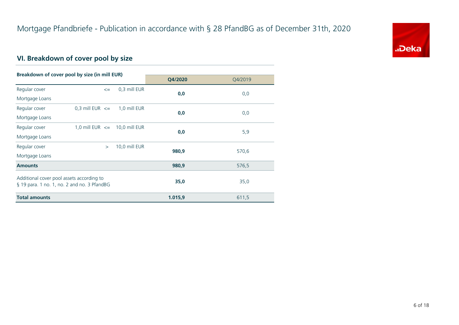![](_page_5_Picture_1.jpeg)

## **VI. Breakdown of cover pool by size**

| Breakdown of cover pool by size (in mill EUR) |                                   |               |         |         |
|-----------------------------------------------|-----------------------------------|---------------|---------|---------|
|                                               |                                   |               | Q4/2020 | Q4/2019 |
| Regular cover                                 | $\leq$                            | 0,3 mill EUR  | 0,0     |         |
| Mortgage Loans                                |                                   |               |         | 0,0     |
| Regular cover                                 | 0,3 mill EUR $\leq$               | 1,0 mill EUR  |         |         |
| Mortgage Loans                                |                                   |               | 0,0     | 0,0     |
| Regular cover                                 | 1,0 mill EUR $\leq$ 10,0 mill EUR |               | 0,0     | 5,9     |
| Mortgage Loans                                |                                   |               |         |         |
| Regular cover                                 | $\geq$                            | 10,0 mill EUR | 980,9   | 570,6   |
| Mortgage Loans                                |                                   |               |         |         |
| <b>Amounts</b>                                |                                   |               | 980,9   | 576,5   |
| Additional cover pool assets according to     |                                   |               |         |         |
| § 19 para. 1 no. 1, no. 2 and no. 3 PfandBG   |                                   |               | 35,0    | 35,0    |
| <b>Total amounts</b>                          |                                   |               | 1.015,9 | 611,5   |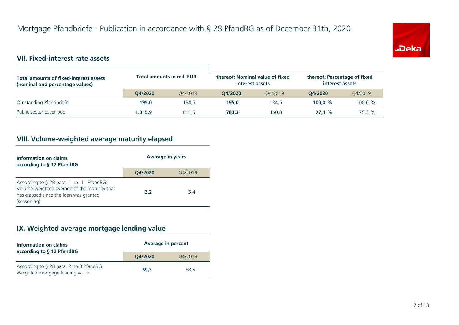![](_page_6_Picture_1.jpeg)

## **VII. Fixed-interest rate assets**

| <b>Total amounts of fixed-interest assets</b><br>(nominal and percentage values) | <b>Total amounts in mill EUR</b> |         | thereof: Nominal value of fixed<br>interest assets |         | thereof: Percentage of fixed<br>interest assets |         |
|----------------------------------------------------------------------------------|----------------------------------|---------|----------------------------------------------------|---------|-------------------------------------------------|---------|
|                                                                                  | O4/2020                          | O4/2019 | O4/2020                                            | O4/2019 | O4/2020                                         | 04/2019 |
| Outstanding Pfandbriefe                                                          | 195.0                            | 134.5   | 195.0                                              | 134.5   | 100.0 $%$                                       | 100.0 % |
| Public sector cover pool                                                         | 1.015.9                          | 611,5   | 783.3                                              | 460.3   | 77.1%                                           | 75,3 %  |

## **VIII. Volume-weighted average maturity elapsed**

| Information on claims<br>according to § 12 PfandBG                                                                                                 | <b>Average in years</b> |         |  |
|----------------------------------------------------------------------------------------------------------------------------------------------------|-------------------------|---------|--|
|                                                                                                                                                    | Q4/2020                 | Q4/2019 |  |
| According to § 28 para. 1 no. 11 PfandBG:<br>Volume-weighted average of the maturity that<br>has elapsed since the loan was granted<br>(seasoning) | 3,2                     | 3,4     |  |

## **IX. Weighted average mortgage lending value**

| Information on claims<br>according to § 12 PfandBG                         | <b>Average in percent</b> |         |  |
|----------------------------------------------------------------------------|---------------------------|---------|--|
|                                                                            | O4/2020                   | Q4/2019 |  |
| According to § 28 para. 2 no.3 PfandBG:<br>Weighted mortgage lending value | 59.3                      | 58,5    |  |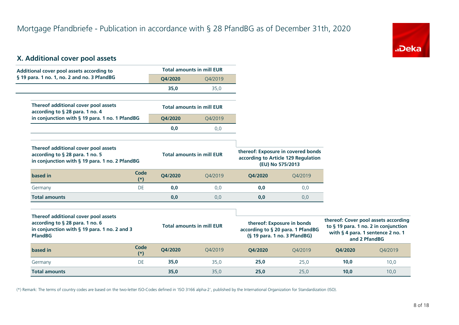![](_page_7_Picture_1.jpeg)

## **X. Additional cover pool assets**

| Additional cover pool assets according to                                                                                 |               | <b>Total amounts in mill EUR</b> |         |                                    |                                                         |
|---------------------------------------------------------------------------------------------------------------------------|---------------|----------------------------------|---------|------------------------------------|---------------------------------------------------------|
| § 19 para. 1 no. 1, no. 2 and no. 3 PfandBG                                                                               |               | Q4/2020                          | Q4/2019 |                                    |                                                         |
|                                                                                                                           |               | 35,0                             | 35,0    |                                    |                                                         |
| Thereof additional cover pool assets<br>according to § 28 para. 1 no. 4                                                   |               | <b>Total amounts in mill EUR</b> |         |                                    |                                                         |
| in conjunction with § 19 para. 1 no. 1 PfandBG                                                                            |               | Q4/2020                          | Q4/2019 |                                    |                                                         |
|                                                                                                                           |               | 0,0                              | 0,0     |                                    |                                                         |
| Thereof additional cover pool assets<br>according to § 28 para. 1 no. 5<br>in conjunction with § 19 para. 1 no. 2 PfandBG |               | <b>Total amounts in mill EUR</b> |         | thereof: Exposure in covered bonds | according to Article 129 Regulation<br>(EU) No 575/2013 |
| based in                                                                                                                  | Code<br>$(*)$ | Q4/2020                          | Q4/2019 | Q4/2020                            | Q4/2019                                                 |
| Germany                                                                                                                   | DE            | 0,0                              | 0,0     | 0,0                                | 0,0                                                     |
| <b>Total amounts</b>                                                                                                      |               | 0,0                              | 0,0     | 0,0                                | 0,0                                                     |
|                                                                                                                           |               |                                  |         |                                    |                                                         |
| Thereof additional cover pool assets<br>$\mathbf{r}$ . $\mathbf{r}$ . $\mathbf{r}$                                        |               |                                  |         |                                    | .                                                       |

| Thereof additional cover pool assets<br>according to $\S$ 28 para. 1 no. 6<br>in conjunction with $\S$ 19 para. 1 no. 2 and 3<br><b>PfandBG</b> |               |         | thereof: Exposure in bonds<br><b>Total amounts in mill EUR</b><br>according to § 20 para. 1 PfandBG<br>$(S19 para. 1 no. 3 PfandBG)$ |         | thereof: Cover pool assets according<br>to § 19 para. 1 no. 2 in conjunction<br>with § 4 para. 1 sentence 2 no. 1<br>and 2 PfandBG |         |         |
|-------------------------------------------------------------------------------------------------------------------------------------------------|---------------|---------|--------------------------------------------------------------------------------------------------------------------------------------|---------|------------------------------------------------------------------------------------------------------------------------------------|---------|---------|
| based in                                                                                                                                        | Code<br>$(*)$ | O4/2020 | 04/2019                                                                                                                              | O4/2020 | 04/2019                                                                                                                            | O4/2020 | O4/2019 |
| Germany                                                                                                                                         | DE            | 35,0    | 35.0                                                                                                                                 | 25,0    | 25.0                                                                                                                               | 10,0    | 10,0    |
| <b>Total amounts</b>                                                                                                                            |               | 35,0    | 35,0                                                                                                                                 | 25,0    | 25,0                                                                                                                               | 10,0    | 10,0    |

(\*) Remark: The terms of country codes are based on the two-letter ISO-Codes defined in 'ISO 3166 alpha-2', published by the International Organization for Standardization (ISO).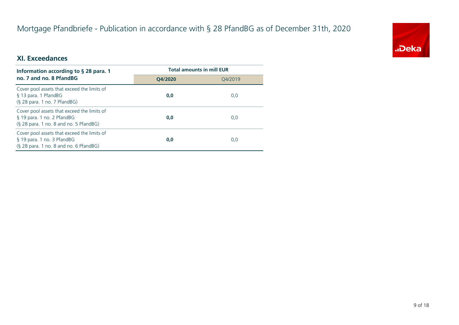## Mortgage Pfandbriefe - Publication in accordance with § 28 PfandBG as of December 31th, 2020

![](_page_8_Picture_1.jpeg)

## **XI. Exceedances**

| Information according to $\S$ 28 para. 1                                                                              | <b>Total amounts in mill EUR</b> |         |  |
|-----------------------------------------------------------------------------------------------------------------------|----------------------------------|---------|--|
| no. 7 and no. 8 PfandBG                                                                                               | O4/2020                          | 04/2019 |  |
| Cover pool assets that exceed the limits of<br>§ 13 para. 1 PfandBG<br>$(S$ 28 para. 1 no. 7 PfandBG)                 | 0,0                              | 0,0     |  |
| Cover pool assets that exceed the limits of<br>§ 19 para. 1 no. 2 PfandBG<br>$(S$ 28 para. 1 no. 8 and no. 5 PfandBG) | 0,0                              | 0,0     |  |
| Cover pool assets that exceed the limits of<br>§ 19 para. 1 no. 3 PfandBG<br>(§ 28 para. 1 no. 8 and no. 6 PfandBG)   | 0,0                              | 0,0     |  |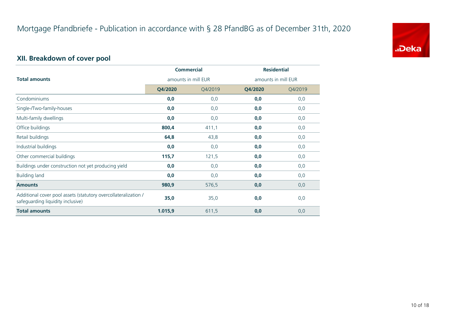![](_page_9_Picture_1.jpeg)

## **XII. Breakdown of cover pool**

|                                                                                                      | <b>Commercial</b>   |         | <b>Residential</b>  |         |
|------------------------------------------------------------------------------------------------------|---------------------|---------|---------------------|---------|
| <b>Total amounts</b>                                                                                 | amounts in mill EUR |         | amounts in mill EUR |         |
|                                                                                                      | Q4/2020             | Q4/2019 | Q4/2020             | Q4/2019 |
| Condominiums                                                                                         | 0,0                 | 0,0     | 0,0                 | 0,0     |
| Single-/Two-family-houses                                                                            | 0,0                 | 0,0     | 0,0                 | 0,0     |
| Multi-family dwellings                                                                               | 0,0                 | 0,0     | 0,0                 | 0,0     |
| Office buildings                                                                                     | 800,4               | 411,1   | 0,0                 | 0,0     |
| Retail buildings                                                                                     | 64,8                | 43,8    | 0,0                 | 0,0     |
| Industrial buildings                                                                                 | 0,0                 | 0,0     | 0,0                 | 0,0     |
| Other commercial buildings                                                                           | 115,7               | 121,5   | 0,0                 | 0,0     |
| Buildings under construction not yet producing yield                                                 | 0,0                 | 0,0     | 0,0                 | 0,0     |
| <b>Building land</b>                                                                                 | 0,0                 | 0,0     | 0,0                 | 0,0     |
| <b>Amounts</b>                                                                                       | 980,9               | 576,5   | 0,0                 | 0,0     |
| Additional cover pool assets (statutory overcollateralization /<br>safeguarding liquidity inclusive) | 35,0                | 35,0    | 0,0                 | 0,0     |
| <b>Total amounts</b>                                                                                 | 1.015,9             | 611,5   | 0,0                 | 0,0     |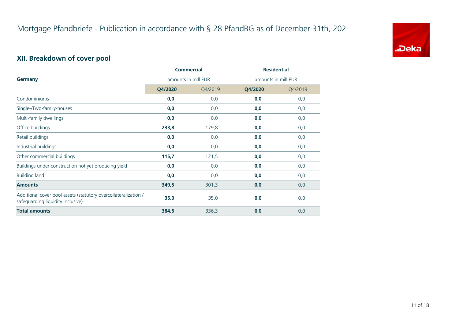![](_page_10_Picture_1.jpeg)

## **XII. Breakdown of cover pool**

|                                                                                                      | <b>Commercial</b>   |         | <b>Residential</b>  |         |
|------------------------------------------------------------------------------------------------------|---------------------|---------|---------------------|---------|
| <b>Germany</b>                                                                                       | amounts in mill EUR |         | amounts in mill EUR |         |
|                                                                                                      | Q4/2020             | Q4/2019 | Q4/2020             | Q4/2019 |
| Condominiums                                                                                         | 0,0                 | 0,0     | 0,0                 | 0,0     |
| Single-/Two-family-houses                                                                            | 0,0                 | 0,0     | 0,0                 | 0,0     |
| Multi-family dwellings                                                                               | 0,0                 | 0,0     | 0,0                 | 0,0     |
| Office buildings                                                                                     | 233,8               | 179,8   | 0,0                 | 0,0     |
| Retail buildings                                                                                     | 0,0                 | 0,0     | 0,0                 | 0,0     |
| Industrial buildings                                                                                 | 0,0                 | 0,0     | 0,0                 | 0,0     |
| Other commercial buildings                                                                           | 115,7               | 121,5   | 0,0                 | 0,0     |
| Buildings under construction not yet producing yield                                                 | 0,0                 | 0,0     | 0,0                 | 0,0     |
| <b>Building land</b>                                                                                 | 0,0                 | 0,0     | 0,0                 | 0,0     |
| <b>Amounts</b>                                                                                       | 349,5               | 301,3   | 0,0                 | 0,0     |
| Additional cover pool assets (statutory overcollateralization /<br>safeguarding liquidity inclusive) | 35,0                | 35,0    | 0,0                 | 0,0     |
| <b>Total amounts</b>                                                                                 | 384,5               | 336,3   | 0,0                 | 0,0     |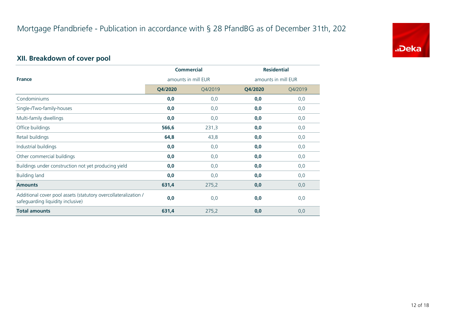![](_page_11_Picture_1.jpeg)

## **XII. Breakdown of cover pool**

|                                                                                                      | <b>Commercial</b><br>amounts in mill EUR |         | <b>Residential</b>  |         |
|------------------------------------------------------------------------------------------------------|------------------------------------------|---------|---------------------|---------|
| <b>France</b>                                                                                        |                                          |         | amounts in mill EUR |         |
|                                                                                                      | Q4/2020                                  | Q4/2019 | Q4/2020             | Q4/2019 |
| Condominiums                                                                                         | 0,0                                      | 0,0     | 0,0                 | 0,0     |
| Single-/Two-family-houses                                                                            | 0,0                                      | 0,0     | 0,0                 | 0,0     |
| Multi-family dwellings                                                                               | 0,0                                      | 0,0     | 0,0                 | 0,0     |
| Office buildings                                                                                     | 566,6                                    | 231,3   | 0,0                 | 0,0     |
| Retail buildings                                                                                     | 64,8                                     | 43,8    | 0,0                 | 0,0     |
| Industrial buildings                                                                                 | 0,0                                      | 0,0     | 0,0                 | 0,0     |
| Other commercial buildings                                                                           | 0,0                                      | 0,0     | 0,0                 | 0,0     |
| Buildings under construction not yet producing yield                                                 | 0,0                                      | 0,0     | 0,0                 | 0,0     |
| <b>Building land</b>                                                                                 | 0,0                                      | 0,0     | 0,0                 | 0,0     |
| <b>Amounts</b>                                                                                       | 631,4                                    | 275,2   | 0,0                 | 0,0     |
| Additional cover pool assets (statutory overcollateralization /<br>safeguarding liquidity inclusive) | 0,0                                      | 0,0     | 0,0                 | 0,0     |
| <b>Total amounts</b>                                                                                 | 631,4                                    | 275,2   | 0,0                 | 0,0     |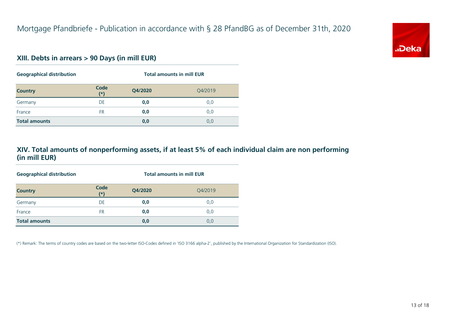![](_page_12_Picture_1.jpeg)

#### **XIII. Debts in arrears > 90 Days (in mill EUR)**

| <b>Geographical distribution</b> |               | <b>Total amounts in mill EUR</b> |         |  |
|----------------------------------|---------------|----------------------------------|---------|--|
| <b>Country</b>                   | Code<br>$(*)$ | Q4/2020                          | Q4/2019 |  |
| Germany                          | DE            | 0,0                              | 0,0     |  |
| France                           | FR.           | 0,0                              | 0,0     |  |
| <b>Total amounts</b>             |               | 0,0                              | 0,0     |  |

#### **XIV. Total amounts of nonperforming assets, if at least 5% of each individual claim are non performing (in mill EUR)**

| <b>Geographical distribution</b> | <b>Total amounts in mill EUR</b> |         |         |
|----------------------------------|----------------------------------|---------|---------|
| <b>Country</b>                   | Code<br>$(*)$                    | Q4/2020 | O4/2019 |
| Germany                          | DE                               | 0,0     | 0,0     |
| France                           | FR                               | 0,0     | 0,0     |
| <b>Total amounts</b>             |                                  | 0,0     | 0,0     |

(\*) Remark: The terms of country codes are based on the two-letter ISO-Codes defined in 'ISO 3166 alpha-2', published by the International Organization for Standardization (ISO).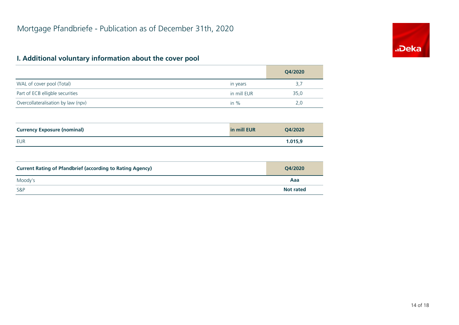## **I. Additional voluntary information about the cover pool**

|                                                                  |             | Q4/2020          |
|------------------------------------------------------------------|-------------|------------------|
| WAL of cover pool (Total)                                        | in years    | 3,7              |
| Part of ECB elligble securities                                  | in mill EUR | 35,0             |
| Overcollateralisation by law (npv)                               | in $%$      | 2,0              |
|                                                                  |             |                  |
| <b>Currency Exposure (nominal)</b>                               | in mill EUR | Q4/2020          |
| <b>EUR</b>                                                       |             | 1.015,9          |
|                                                                  |             |                  |
| <b>Current Rating of Pfandbrief (according to Rating Agency)</b> |             | Q4/2020          |
| Moody's                                                          |             | Aaa              |
| S&P                                                              |             | <b>Not rated</b> |

![](_page_13_Picture_3.jpeg)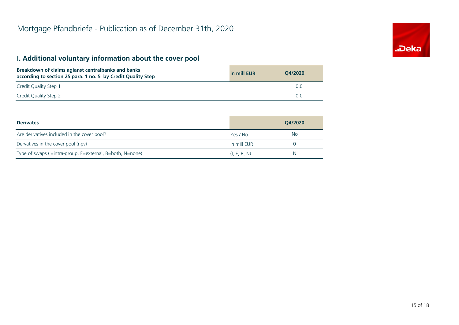## **I. Additional voluntary information about the cover pool**

| Breakdown of claims agianst centralbanks and banks<br>according to section 25 para. 1 no. 5 by Credit Quality Step | in mill EUR | O4/2020 |
|--------------------------------------------------------------------------------------------------------------------|-------------|---------|
| Credit Quality Step 1                                                                                              |             | 0.0     |
| Credit Quality Step 2                                                                                              |             | 0.0     |

| <b>Derivates</b>                                          |              | O4/2020 |
|-----------------------------------------------------------|--------------|---------|
| Are derivatives included in the cover pool?               | Yes / No     | No      |
| Dervatives in the cover pool (npv)                        | in mill EUR  |         |
| Type of swaps (I=intra-group, E=external, B=both, N=none) | (I, E, B, N) | N       |

![](_page_14_Picture_4.jpeg)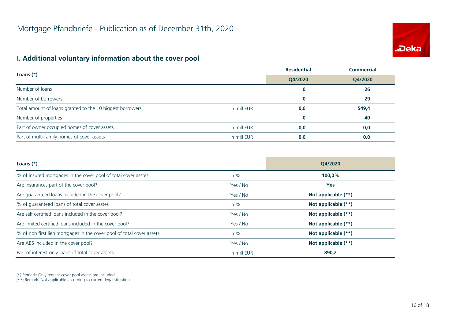# **.Deka**

## **I. Additional voluntary information about the cover pool**

|                                                           | <b>Residential</b> | <b>Commercial</b> |         |
|-----------------------------------------------------------|--------------------|-------------------|---------|
| Loans $(*)$                                               |                    | Q4/2020           | Q4/2020 |
| Number of loans                                           |                    | 0                 | 26      |
| Number of borrowers                                       |                    | $\bf{0}$          | 29      |
| Total amount of loans granted to the 10 biggest borrowers | in mill EUR        | 0,0               | 549,4   |
| Number of properties                                      |                    | $\bf{0}$          | 40      |
| Part of owner occupied homes of cover assets              | in mill EUR        | 0,0               | 0,0     |
| Part of multi-family homes of cover assets                | in mill EUR        | 0,0               | 0,0     |

| Loans $(*)$                                                           |             | O4/2020               |
|-----------------------------------------------------------------------|-------------|-----------------------|
| % of insured mortgages in the cover pool of total cover asstes        | in $%$      | 100,0%                |
| Are Insurances part of the cover pool?                                | Yes / No    | <b>Yes</b>            |
| Are guaranteed loans included in the cover pool?                      | Yes / No    | Not applicable (**)   |
| % of quaranteed loans of total cover asstes                           | in $%$      | Not applicable (**)   |
| Are self certified loans included in the cover pool?                  | Yes / No    | Not applicable (**)   |
| Are limited certified loans included in the cover pool?               | Yes / No    | Not applicable (**)   |
| % of non first lien mortgages in the cover pool of total cover assets | in $%$      | Not applicable (**)   |
| Are ABS included in the cover pool?                                   | Yes / No    | Not applicable $(**)$ |
| Part of interest only loans of total cover assets                     | in mill EUR | 890,2                 |

(\*) Remark: Only regular cover pool assets are included.

(\*\*) Remark: Not applicable according to current legal situation.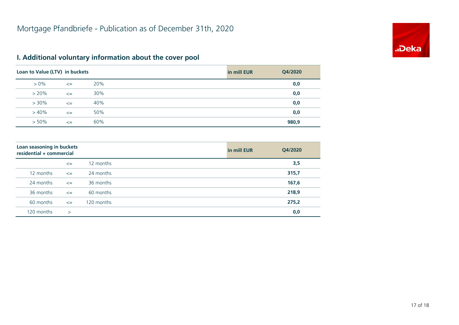![](_page_16_Picture_1.jpeg)

## **I. Additional voluntary information about the cover pool**

| Loan to Value (LTV) in buckets |        |     | in mill EUR | Q4/2020 |
|--------------------------------|--------|-----|-------------|---------|
| $> 0\%$                        | $\leq$ | 20% |             | 0,0     |
| $> 20\%$                       | $\leq$ | 30% |             | 0,0     |
| $> 30\%$                       | $\leq$ | 40% |             | 0,0     |
| $>40\%$                        | $\leq$ | 50% |             | 0,0     |
| $> 50\%$                       | $\leq$ | 60% |             | 980,9   |

| Loan seasoning in buckets<br>residential + commercial |              |            | in mill EUR | Q4/2020 |
|-------------------------------------------------------|--------------|------------|-------------|---------|
|                                                       | $\leq$       | 12 months  |             | 3,5     |
| 12 months                                             | $\leq$       | 24 months  |             | 315,7   |
| 24 months                                             | $\leq$       | 36 months  |             | 167,6   |
| 36 months                                             | $\leq$       | 60 months  |             | 218,9   |
| 60 months                                             | $\leq$       | 120 months |             | 275,2   |
| 120 months                                            | $\mathbf{r}$ |            |             | 0,0     |